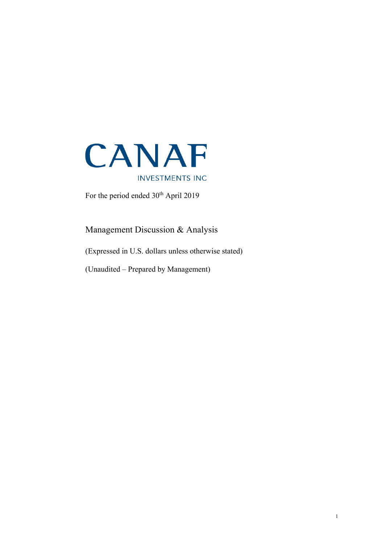

For the period ended  $30<sup>th</sup>$  April 2019

Management Discussion & Analysis

(Expressed in U.S. dollars unless otherwise stated)

(Unaudited – Prepared by Management)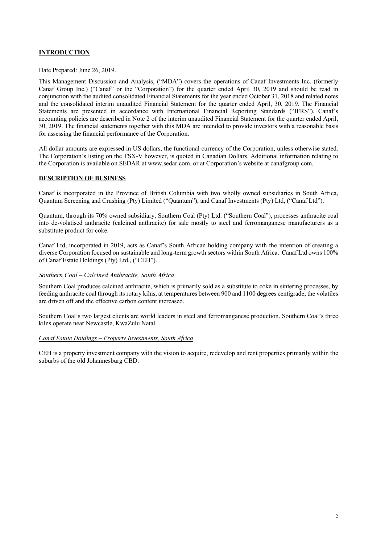# **INTRODUCTION**

Date Prepared: June 26, 2019.

This Management Discussion and Analysis, ("MDA") covers the operations of Canaf Investments Inc. (formerly Canaf Group Inc.) ("Canaf" or the "Corporation") for the quarter ended April 30, 2019 and should be read in conjunction with the audited consolidated Financial Statements for the year ended October 31, 2018 and related notes and the consolidated interim unaudited Financial Statement for the quarter ended April, 30, 2019. The Financial Statements are presented in accordance with International Financial Reporting Standards ("IFRS"). Canaf's accounting policies are described in Note 2 of the interim unaudited Financial Statement for the quarter ended April, 30, 2019. The financial statements together with this MDA are intended to provide investors with a reasonable basis for assessing the financial performance of the Corporation.

All dollar amounts are expressed in US dollars, the functional currency of the Corporation, unless otherwise stated. The Corporation's listing on the TSX-V however, is quoted in Canadian Dollars. Additional information relating to the Corporation is available on SEDAR a[t www.sedar.com.](http://www.sedar.com/) or at Corporation's website at canafgroup.com.

### **DESCRIPTION OF BUSINESS**

Canaf is incorporated in the Province of British Columbia with two wholly owned subsidiaries in South Africa, Quantum Screening and Crushing (Pty) Limited ("Quantum"), and Canaf Investments (Pty) Ltd, ("Canaf Ltd").

Quantum, through its 70% owned subsidiary, Southern Coal (Pty) Ltd. ("Southern Coal"), processes anthracite coal into de-volatised anthracite (calcined anthracite) for sale mostly to steel and ferromanganese manufacturers as a substitute product for coke.

Canaf Ltd, incorporated in 2019, acts as Canaf's South African holding company with the intention of creating a diverse Corporation focused on sustainable and long-term growth sectors within South Africa. Canaf Ltd owns 100% of Canaf Estate Holdings (Pty) Ltd., ("CEH").

### *Southern Coal – Calcined Anthracite, South Africa*

Southern Coal produces calcined anthracite, which is primarily sold as a substitute to coke in sintering processes, by feeding anthracite coal through its rotary kilns, at temperatures between 900 and 1100 degrees centigrade; the volatiles are driven off and the effective carbon content increased.

Southern Coal's two largest clients are world leaders in steel and ferromanganese production. Southern Coal's three kilns operate near Newcastle, KwaZulu Natal.

#### *Canaf Estate Holdings – Property Investments, South Africa*

CEH is a property investment company with the vision to acquire, redevelop and rent properties primarily within the suburbs of the old Johannesburg CBD.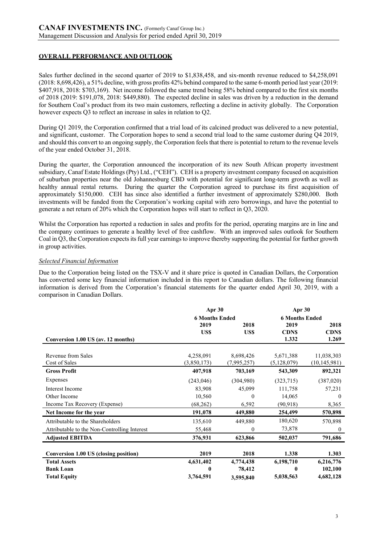# **OVERALL PERFORMANCE AND OUTLOOK**

Sales further declined in the second quarter of 2019 to \$1,838,458, and six-month revenue reduced to \$4,258,091 (2018: 8,698,426), a 51% decline, with gross profits 42% behind compared to the same 6-month period last year (2019: \$407,918, 2018: \$703,169). Net income followed the same trend being 58% behind compared to the first six months of 2018 (2019: \$191,078, 2018: \$449,880). The expected decline in sales was driven by a reduction in the demand for Southern Coal's product from its two main customers, reflecting a decline in activity globally. The Corporation however expects Q3 to reflect an increase in sales in relation to Q2.

During Q1 2019, the Corporation confirmed that a trial load of its calcined product was delivered to a new potential, and significant, customer. The Corporation hopes to send a second trial load to the same customer during Q4 2019, and should this convert to an ongoing supply, the Corporation feels that there is potential to return to the revenue levels of the year ended October 31, 2018.

During the quarter, the Corporation announced the incorporation of its new South African property investment subsidiary, Canaf Estate Holdings (Pty) Ltd., ("CEH"). CEH is a property investment company focused on acquisition of suburban properties near the old Johannesburg CBD with potential for significant long-term growth as well as healthy annual rental returns. During the quarter the Corporation agreed to purchase its first acquisition of approximately \$150,000. CEH has since also identified a further investment of approximately \$280,000. Both investments will be funded from the Corporation's working capital with zero borrowings, and have the potential to generate a net return of 20% which the Corporation hopes will start to reflect in Q3, 2020.

Whilst the Corporation has reported a reduction in sales and profits for the period, operating margins are in line and the company continues to generate a healthy level of free cashflow. With an improved sales outlook for Southern Coal in Q3, the Corporation expects its full year earnings to improve thereby supporting the potential for further growth in group activities.

## *Selected Financial Information*

Due to the Corporation being listed on the TSX-V and it share price is quoted in Canadian Dollars, the Corporation has converted some key financial information included in this report to Canadian dollars. The following financial information is derived from the Corporation's financial statements for the quarter ended April 30, 2019, with a comparison in Canadian Dollars.

|                                              | Apr 30<br><b>6 Months Ended</b> |              | Apr $30$<br><b>6 Months Ended</b> |                |
|----------------------------------------------|---------------------------------|--------------|-----------------------------------|----------------|
|                                              | 2019                            | 2018         | 2019                              | 2018           |
|                                              | <b>USS</b>                      | US\$         | <b>CDNS</b>                       | <b>CDNS</b>    |
| Conversion 1.00 US (av. 12 months)           |                                 |              | 1.332                             | 1.269          |
| Revenue from Sales                           | 4,258,091                       | 8,698,426    | 5,671,388                         | 11,038,303     |
| Cost of Sales                                | (3,850,173)                     | (7,995,257)  | (5, 128, 079)                     | (10, 145, 981) |
| <b>Gross Profit</b>                          | 407,918                         | 703,169      | 543,309                           | 892,321        |
| Expenses                                     | (243, 046)                      | (304,980)    | (323,715)                         | (387,020)      |
| Interest Income                              | 83,908                          | 45,099       | 111,758                           | 57,231         |
| Other Income                                 | 10,560                          | $\theta$     | 14,065                            | $\theta$       |
| Income Tax Recovery (Expense)                | (68, 262)                       | 6,592        | (90, 918)                         | 8,365          |
| Net Income for the year                      | 191,078                         | 449,880      | 254,499                           | 570,898        |
| Attributable to the Shareholders             | 135,610                         | 449,880      | 180,620                           | 570,898        |
| Attributable to the Non-Controlling Interest | 55,468                          | $\mathbf{0}$ | 73,878                            | $\bf{0}$       |
| <b>Adjusted EBITDA</b>                       | 376,931                         | 623,866      | 502,037                           | 791,686        |
|                                              |                                 |              |                                   |                |
| <b>Conversion 1.00 US (closing position)</b> | 2019                            | 2018         | 1.338                             | 1.303          |
| <b>Total Assets</b>                          | 4,631,402                       | 4,774,438    | 6,198,710                         | 6,216,776      |
| <b>Bank Loan</b>                             | 0                               | 78,412       | 0                                 | 102,100        |
| <b>Total Equity</b>                          | 3,764,591                       | 3,595,840    | 5,038,563                         | 4,682,128      |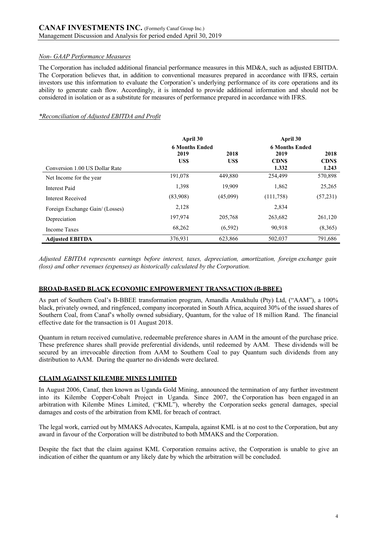## *Non- GAAP Performance Measures*

The Corporation has included additional financial performance measures in this MD&A, such as adjusted EBITDA. The Corporation believes that, in addition to conventional measures prepared in accordance with IFRS, certain investors use this information to evaluate the Corporation's underlying performance of its core operations and its ability to generate cash flow. Accordingly, it is intended to provide additional information and should not be considered in isolation or as a substitute for measures of performance prepared in accordance with IFRS.

## *\*Reconciliation of Adjusted EBITDA and Profit*

|                                 | April 30              |          | April 30              |             |  |
|---------------------------------|-----------------------|----------|-----------------------|-------------|--|
|                                 | <b>6 Months Ended</b> |          | <b>6 Months Ended</b> |             |  |
|                                 | 2019                  | 2018     | 2019                  | 2018        |  |
|                                 | US\$                  | US\$     | <b>CDNS</b>           | <b>CDNS</b> |  |
| Conversion 1.00 US Dollar Rate  |                       |          | 1.332                 | 1.243       |  |
| Net Income for the year         | 191,078               | 449,880  | 254,499               | 570,898     |  |
| Interest Paid                   | 1,398                 | 19,909   | 1,862                 | 25,265      |  |
| Interest Received               | (83,908)              | (45,099) | (111, 758)            | (57,231)    |  |
| Foreign Exchange Gain/ (Losses) | 2,128                 |          | 2,834                 |             |  |
| Depreciation                    | 197,974               | 205,768  | 263,682               | 261,120     |  |
| Income Taxes                    | 68,262                | (6, 592) | 90,918                | (8,365)     |  |
| <b>Adjusted EBITDA</b>          | 376,931               | 623,866  | 502,037               | 791,686     |  |

*Adjusted EBITDA represents earnings before interest, taxes, depreciation, amortization, foreign exchange gain (loss) and other revenues (expenses) as historically calculated by the Corporation.*

# **BROAD-BASED BLACK ECONOMIC EMPOWERMENT TRANSACTION (B-BBEE)**

As part of Southern Coal's B-BBEE transformation program, Amandla Amakhulu (Pty) Ltd, ("AAM"), a 100% black, privately owned, and ringfenced, company incorporated in South Africa, acquired 30% of the issued shares of Southern Coal, from Canaf's wholly owned subsidiary, Quantum, for the value of 18 million Rand. The financial effective date for the transaction is 01 August 2018.

Quantum in return received cumulative, redeemable preference shares in AAM in the amount of the purchase price. These preference shares shall provide preferential dividends, until redeemed by AAM. These dividends will be secured by an irrevocable direction from AAM to Southern Coal to pay Quantum such dividends from any distribution to AAM. During the quarter no dividends were declared.

### **CLAIM AGAINST KILEMBE MINES LIMITED**

In August 2006, Canaf, then known as Uganda Gold Mining, announced the termination of any further investment into its Kilembe Copper-Cobalt Project in Uganda. Since 2007, the Corporation has been engaged in an arbitration with Kilembe Mines Limited, ("KML"), whereby the Corporation seeks general damages, special damages and costs of the arbitration from KML for breach of contract.

The legal work, carried out by MMAKS Advocates, Kampala, against KML is at no cost to the Corporation, but any award in favour of the Corporation will be distributed to both MMAKS and the Corporation.

Despite the fact that the claim against KML Corporation remains active, the Corporation is unable to give an indication of either the quantum or any likely date by which the arbitration will be concluded.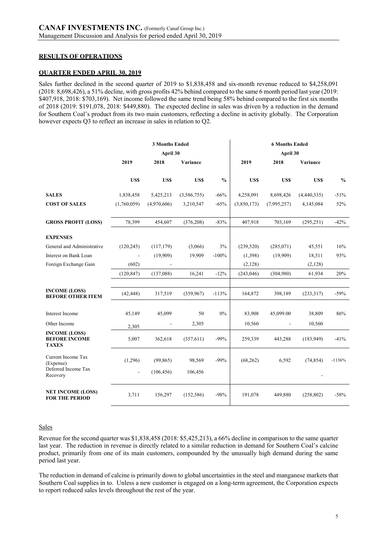## **RESULTS OF OPERATIONS**

### **QUARTER ENDED APRIL 30, 2019**

Sales further declined in the second quarter of 2019 to \$1,838,458 and six-month revenue reduced to \$4,258,091 (2018: 8,698,426), a 51% decline, with gross profits 42% behind compared to the same 6 month period last year (2019: \$407,918, 2018: \$703,169). Net income followed the same trend being 58% behind compared to the first six months of 2018 (2019: \$191,078, 2018: \$449,880). The expected decline in sales was driven by a reduction in the demand for Southern Coal's product from its two main customers, reflecting a decline in activity globally. The Corporation however expects Q3 to reflect an increase in sales in relation to Q2.

|                                                              | <b>3 Months Ended</b> |             |             |               | <b>6 Months Ended</b><br>April 30 |                          |             |               |
|--------------------------------------------------------------|-----------------------|-------------|-------------|---------------|-----------------------------------|--------------------------|-------------|---------------|
|                                                              |                       | April 30    |             |               |                                   |                          |             |               |
|                                                              | 2019                  | 2018        | Variance    |               | 2019                              | 2018                     | Variance    |               |
|                                                              | US\$                  | US\$        | <b>USS</b>  | $\frac{0}{0}$ | US\$                              | US\$                     | <b>USS</b>  | $\frac{0}{0}$ |
| <b>SALES</b>                                                 | 1,838,458             | 5,425,213   | (3,586,755) | $-66%$        | 4,258,091                         | 8,698,426                | (4,440,335) | $-51%$        |
| <b>COST OF SALES</b>                                         | (1,760,059)           | (4,970,606) | 3,210,547   | $-65%$        | (3,850,173)                       | (7,995,257)              | 4,145,084   | 52%           |
|                                                              |                       |             |             |               |                                   |                          |             |               |
| <b>GROSS PROFIT (LOSS)</b>                                   | 78,399                | 454,607     | (376, 208)  | $-83%$        | 407,918                           | 703,169                  | (295, 251)  | $-42%$        |
| <b>EXPENSES</b>                                              |                       |             |             |               |                                   |                          |             |               |
| General and Administrative                                   | (120, 245)            | (117, 179)  | (3,066)     | 3%            | (239, 520)                        | (285,071)                | 45,551      | 16%           |
| Interest on Bank Loan                                        |                       | (19,909)    | 19.909      | $-100%$       | (1,398)                           | (19,909)                 | 18,511      | 93%           |
| Foreign Exchange Gain                                        | (602)                 |             |             |               | (2,128)                           |                          | (2,128)     |               |
|                                                              | (120, 847)            | (137,088)   | 16,241      | $-12%$        | (243, 046)                        | (304,980)                | 61,934      | 20%           |
|                                                              |                       |             |             |               |                                   |                          |             |               |
| <b>INCOME (LOSS)</b><br><b>BEFORE OTHER ITEM</b>             | (42, 448)             | 317,519     | (359,967)   | $-113%$       | 164,872                           | 398,189                  | (233,317)   | $-59%$        |
| Interest Income                                              | 45,149                | 45,099      | 50          | 0%            | 83,908                            | 45,099.00                | 38,809      | 86%           |
| Other Income                                                 | 2,305                 | ÷,          | 2,305       |               | 10,560                            | $\overline{\phantom{a}}$ | 10,560      |               |
| <b>INCOME (LOSS)</b><br><b>BEFORE INCOME</b><br><b>TAXES</b> | 5,007                 | 362,618     | (357, 611)  | $-99%$        | 259,339                           | 443,288                  | (183, 949)  | $-41%$        |
| Current Income Tax<br>(Expense)                              | (1,296)               | (99, 865)   | 98,569      | $-99%$        | (68, 262)                         | 6,592                    | (74, 854)   | $-1136%$      |
| Deferred Income Tax<br>Recovery                              | $\blacksquare$        | (106, 456)  | 106,456     |               |                                   |                          |             |               |
| <b>NET INCOME (LOSS)</b><br><b>FOR THE PERIOD</b>            | 3,711                 | 156,297     | (152, 586)  | $-98%$        | 191,078                           | 449,880                  | (258, 802)  | $-58%$        |

### **Sales**

Revenue for the second quarter was \$1,838,458 (2018: \$5,425,213), a 66% decline in comparison to the same quarter last year. The reduction in revenue is directly related to a similar reduction in demand for Southern Coal's calcine product, primarily from one of its main customers, compounded by the unusually high demand during the same period last year.

The reduction in demand of calcine is primarily down to global uncertainties in the steel and manganese markets that Southern Coal supplies in to. Unless a new customer is engaged on a long-term agreement, the Corporation expects to report reduced sales levels throughout the rest of the year.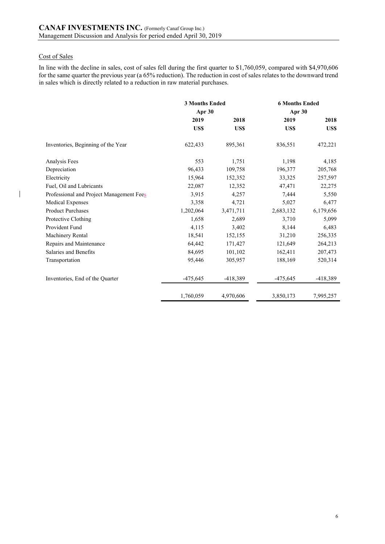# Cost of Sales

 $\overline{\mathbf{1}}$ 

In line with the decline in sales, cost of sales fell during the first quarter to \$1,760,059, compared with \$4,970,606 for the same quarter the previous year (a 65% reduction). The reduction in cost of sales relates to the downward trend in sales which is directly related to a reduction in raw material purchases.

|                                          | <b>3 Months Ended</b> |            | <b>6 Months Ended</b> |            |  |
|------------------------------------------|-----------------------|------------|-----------------------|------------|--|
|                                          | Apr 30                |            | Apr 30                |            |  |
|                                          | 2019                  | 2018       | 2019                  | 2018       |  |
|                                          | US\$                  | US\$       | US\$                  | <b>USS</b> |  |
| Inventories, Beginning of the Year       | 622,433               | 895,361    | 836,551               | 472,221    |  |
| Analysis Fees                            | 553                   | 1,751      | 1,198                 | 4,185      |  |
| Depreciation                             | 96,433                | 109,758    | 196,377               | 205,768    |  |
| Electricity                              | 15,964                | 152,352    | 33,325                | 257,597    |  |
| Fuel, Oil and Lubricants                 | 22,087                | 12,352     | 47,471                | 22,275     |  |
| Professional and Project Management Fees | 3,915                 | 4,257      | 7,444                 | 5,550      |  |
| Medical Expenses                         | 3,358                 | 4,721      | 5,027                 | 6,477      |  |
| <b>Product Purchases</b>                 | 1,202,064             | 3,471,711  | 2,683,132             | 6,179,656  |  |
| Protective Clothing                      | 1,658                 | 2,689      | 3,710                 | 5,099      |  |
| Provident Fund                           | 4,115                 | 3,402      | 8,144                 | 6,483      |  |
| Machinery Rental                         | 18,541                | 152,155    | 31,210                | 256,335    |  |
| Repairs and Maintenance                  | 64,442                | 171,427    | 121,649               | 264,213    |  |
| Salaries and Benefits                    | 84,695                | 101,102    | 162,411               | 207,473    |  |
| Transportation                           | 95,446                | 305,957    | 188,169               | 520,314    |  |
| Inventories, End of the Quarter          | $-475,645$            | $-418,389$ | $-475,645$            | $-418,389$ |  |
|                                          | 1,760,059             | 4,970,606  | 3,850,173             | 7,995,257  |  |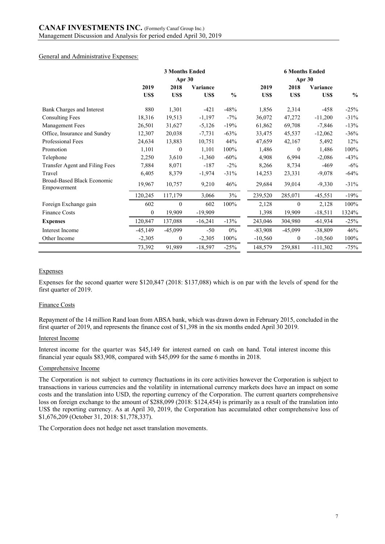#### General and Administrative Expenses:

|                                           | <b>3 Months Ended</b> |                  |                 |               | <b>6 Months Ended</b> |              |            |               |
|-------------------------------------------|-----------------------|------------------|-----------------|---------------|-----------------------|--------------|------------|---------------|
|                                           |                       | Apr 30           |                 |               |                       | Apr 30       |            |               |
|                                           | 2019                  | 2018             | <b>Variance</b> |               | 2019                  | 2018         | Variance   |               |
|                                           | US\$                  | US\$             | US\$            | $\frac{0}{0}$ | US\$                  | US\$         | US\$       | $\frac{0}{0}$ |
| Bank Charges and Interest                 | 880                   | 1,301            | $-421$          | $-48%$        | 1,856                 | 2,314        | $-458$     | $-25%$        |
| <b>Consulting Fees</b>                    | 18,316                | 19,513           | $-1,197$        | $-7\%$        | 36,072                | 47,272       | $-11,200$  | $-31%$        |
| Management Fees                           | 26,501                | 31,627           | $-5,126$        | $-19%$        | 61,862                | 69,708       | $-7,846$   | $-13%$        |
| Office, Insurance and Sundry              | 12,307                | 20,038           | $-7,731$        | $-63%$        | 33,475                | 45,537       | $-12,062$  | $-36%$        |
| Professional Fees                         | 24,634                | 13,883           | 10,751          | 44%           | 47,659                | 42,167       | 5,492      | 12%           |
| Promotion                                 | 1,101                 | $\mathbf{0}$     | 1,101           | $100\%$       | 1,486                 | $\theta$     | 1,486      | 100%          |
| Telephone                                 | 2,250                 | 3,610            | $-1,360$        | $-60%$        | 4,908                 | 6,994        | $-2,086$   | $-43%$        |
| Transfer Agent and Filing Fees            | 7,884                 | 8,071            | $-187$          | $-2\%$        | 8,266                 | 8,734        | -469       | $-6\%$        |
| Travel                                    | 6,405                 | 8,379            | $-1,974$        | $-31%$        | 14,253                | 23,331       | $-9,078$   | $-64%$        |
| Broad-Based Black Economic<br>Empowerment | 19,967                | 10,757           | 9,210           | 46%           | 29,684                | 39,014       | $-9,330$   | $-31%$        |
|                                           | 120,245               | 117,179          | 3,066           | 3%            | 239,520               | 285,071      | $-45,551$  | $-19%$        |
| Foreign Exchange gain                     | 602                   | $\theta$         | 602             | 100%          | 2,128                 | $\mathbf{0}$ | 2,128      | 100%          |
| Finance Costs                             | $\overline{0}$        | 19,909           | $-19,909$       |               | 1,398                 | 19,909       | $-18,511$  | 1324%         |
| <b>Expenses</b>                           | 120,847               | 137,088          | $-16,241$       | $-13%$        | 243,046               | 304,980      | $-61,934$  | $-25%$        |
| <b>Interest Income</b>                    | $-45,149$             | $-45,099$        | $-50$           | $0\%$         | $-83,908$             | $-45,099$    | $-38,809$  | 46%           |
| Other Income                              | $-2,305$              | $\boldsymbol{0}$ | $-2,305$        | 100%          | $-10,560$             | 0            | $-10,560$  | 100%          |
|                                           | 73,392                | 91,989           | $-18,597$       | $-25%$        | 148,579               | 259,881      | $-111,302$ | $-75%$        |

### Expenses

Expenses for the second quarter were \$120,847 (2018: \$137,088) which is on par with the levels of spend for the first quarter of 2019.

#### Finance Costs

Repayment of the 14 million Rand loan from ABSA bank, which was drawn down in February 2015, concluded in the first quarter of 2019, and represents the finance cost of \$1,398 in the six months ended April 30 2019.

#### Interest Income

Interest income for the quarter was \$45,149 for interest earned on cash on hand. Total interest income this financial year equals \$83,908, compared with \$45,099 for the same 6 months in 2018.

#### Comprehensive Income

The Corporation is not subject to currency fluctuations in its core activities however the Corporation is subject to transactions in various currencies and the volatility in international currency markets does have an impact on some costs and the translation into USD, the reporting currency of the Corporation. The current quarters comprehensive loss on foreign exchange to the amount of \$288,099 (2018: \$124,454) is primarily as a result of the translation into US\$ the reporting currency. As at April 30, 2019, the Corporation has accumulated other comprehensive loss of \$1,676,209 (October 31, 2018: \$1,778,337).

The Corporation does not hedge net asset translation movements.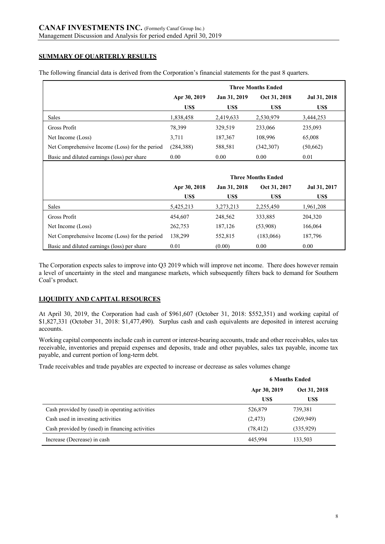# **SUMMARY OF QUARTERLY RESULTS**

|                                                |              |              | <b>Three Months Ended</b> |              |
|------------------------------------------------|--------------|--------------|---------------------------|--------------|
|                                                | Apr 30, 2019 | Jan 31, 2019 | Oct 31, 2018              | Jul 31, 2018 |
|                                                | US\$         | US\$         | US\$                      | US\$         |
| <b>Sales</b>                                   | 1,838,458    | 2,419,633    | 2,530,979                 | 3,444,253    |
| Gross Profit                                   | 78,399       | 329,519      | 233,066                   | 235,093      |
| Net Income (Loss)                              | 3,711        | 187,367      | 108,996                   | 65,008       |
| Net Comprehensive Income (Loss) for the period | (284, 388)   | 588,581      | (342,307)                 | (50,662)     |
| Basic and diluted earnings (loss) per share    | 0.00         | 0.00         | 0.00                      | 0.01         |
|                                                |              |              |                           |              |
|                                                |              |              | <b>Three Months Ended</b> |              |
|                                                | Apr 30, 2018 | Jan 31, 2018 | Oct 31, 2017              | Jul 31, 2017 |
|                                                | US\$         | US\$         | US\$                      | US\$         |
| Sales                                          | 5,425,213    | 3,273,213    | 2,255,450                 | 1,961,208    |

| Basic and diluted earnings (loss) per share                                                                       | 0.01 | (0.00) | 0.00 | 0.00 |
|-------------------------------------------------------------------------------------------------------------------|------|--------|------|------|
|                                                                                                                   |      |        |      |      |
| The Corporation expects sales to improve into Q3 2019 which will improve net income. There does however remain    |      |        |      |      |
| a level of uncertainty in the steel and manganese markets, which subsequently filters back to demand for Southern |      |        |      |      |

Gross Profit 248,607 248,562 333,885 204,320 Net Income (Loss) 262,753 187,126 (53,908) 166,064 Net Comprehensive Income (Loss) for the period 138,299 552,815 (183,066) 187,796

# **LIQUIDITY AND CAPITAL RESOURCES**

Coal's product.

At April 30, 2019, the Corporation had cash of \$961,607 (October 31, 2018: \$552,351) and working capital of \$1,827,331 (October 31, 2018: \$1,477,490). Surplus cash and cash equivalents are deposited in interest accruing accounts.

Working capital components include cash in current or interest-bearing accounts, trade and other receivables, sales tax receivable, inventories and prepaid expenses and deposits, trade and other payables, sales tax payable, income tax payable, and current portion of long-term debt.

Trade receivables and trade payables are expected to increase or decrease as sales volumes change

|                                                 | <b>6 Months Ended</b>        |            |  |
|-------------------------------------------------|------------------------------|------------|--|
|                                                 | Oct 31, 2018<br>Apr 30, 2019 |            |  |
|                                                 | US\$                         | US\$       |  |
| Cash provided by (used) in operating activities | 526,879                      | 739,381    |  |
| Cash used in investing activities               | (2, 473)                     | (269, 949) |  |
| Cash provided by (used) in financing activities | (78, 412)                    | (335, 929) |  |
| Increase (Decrease) in cash                     | 445.994                      | 133,503    |  |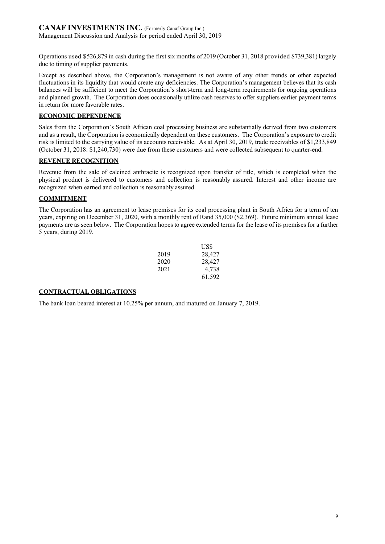Operations used \$526,879 in cash during the first six months of 2019 (October 31, 2018 provided \$739,381) largely due to timing of supplier payments.

Except as described above, the Corporation's management is not aware of any other trends or other expected fluctuations in its liquidity that would create any deficiencies. The Corporation's management believes that its cash balances will be sufficient to meet the Corporation's short-term and long-term requirements for ongoing operations and planned growth. The Corporation does occasionally utilize cash reserves to offer suppliers earlier payment terms in return for more favorable rates.

## **ECONOMIC DEPENDENCE**

Sales from the Corporation's South African coal processing business are substantially derived from two customers and as a result, the Corporation is economically dependent on these customers. The Corporation's exposure to credit risk is limited to the carrying value of its accounts receivable. As at April 30, 2019, trade receivables of \$1,233,849 (October 31, 2018: \$1,240,730) were due from these customers and were collected subsequent to quarter-end.

### **REVENUE RECOGNITION**

Revenue from the sale of calcined anthracite is recognized upon transfer of title, which is completed when the physical product is delivered to customers and collection is reasonably assured. Interest and other income are recognized when earned and collection is reasonably assured.

# **COMMITMENT**

The Corporation has an agreement to lease premises for its coal processing plant in South Africa for a term of ten years, expiring on December 31, 2020, with a monthly rent of Rand 35,000 (\$2,369). Future minimum annual lease payments are as seen below. The Corporation hopes to agree extended terms for the lease of its premises for a further 5 years, during 2019.

|      | USS    |
|------|--------|
| 2019 | 28,427 |
| 2020 | 28,427 |
| 2021 | 4,738  |
|      | 61,592 |

# **CONTRACTUAL OBLIGATIONS**

The bank loan beared interest at 10.25% per annum, and matured on January 7, 2019.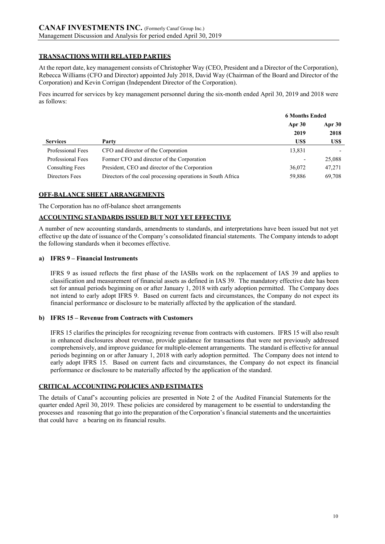# **TRANSACTIONS WITH RELATED PARTIES**

At the report date, key management consists of Christopher Way (CEO, President and a Director of the Corporation), Rebecca Williams (CFO and Director) appointed July 2018, David Way (Chairman of the Board and Director of the Corporation) and Kevin Corrigan (Independent Director of the Corporation).

Fees incurred for services by key management personnel during the six-month ended April 30, 2019 and 2018 were as follows:

|                        |                                                             | <b>6 Months Ended</b> |        |
|------------------------|-------------------------------------------------------------|-----------------------|--------|
|                        |                                                             | Apr 30                | Apr 30 |
|                        |                                                             | 2019                  | 2018   |
| <b>Services</b>        | Party                                                       | US\$                  | US\$   |
| Professional Fees      | CFO and director of the Corporation                         | 13,831                |        |
| Professional Fees      | Former CFO and director of the Corporation                  |                       | 25,088 |
| <b>Consulting Fees</b> | President, CEO and director of the Corporation              | 36,072                | 47,271 |
| Directors Fees         | Directors of the coal processing operations in South Africa | 59,886                | 69,708 |

# **OFF-BALANCE SHEET ARRANGEMENTS**

The Corporation has no off-balance sheet arrangements

# **ACCOUNTING STANDARDS ISSUED BUT NOT YET EFFECTIVE**

A number of new accounting standards, amendments to standards, and interpretations have been issued but not yet effective up the date of issuance of the Company's consolidated financial statements. The Company intends to adopt the following standards when it becomes effective.

# **a) IFRS 9 – Financial Instruments**

IFRS 9 as issued reflects the first phase of the IASBs work on the replacement of IAS 39 and applies to classification and measurement of financial assets as defined in IAS 39. The mandatory effective date has been set for annual periods beginning on or after January 1, 2018 with early adoption permitted. The Company does not intend to early adopt IFRS 9. Based on current facts and circumstances, the Company do not expect its financial performance or disclosure to be materially affected by the application of the standard.

# **b) IFRS 15 – Revenue from Contracts with Customers**

IFRS 15 clarifies the principles for recognizing revenue from contracts with customers. IFRS 15 will also result in enhanced disclosures about revenue, provide guidance for transactions that were not previously addressed comprehensively, and improve guidance for multiple-element arrangements. The standard is effective for annual periods beginning on or after January 1, 2018 with early adoption permitted. The Company does not intend to early adopt IFRS 15. Based on current facts and circumstances, the Company do not expect its financial performance or disclosure to be materially affected by the application of the standard.

# **CRITICAL ACCOUNTING POLICIES AND ESTIMATES**

The details of Canaf's accounting policies are presented in Note 2 of the Audited Financial Statements for the quarter ended April 30, 2019. These policies are considered by management to be essential to understanding the processes and reasoning that go into the preparation of the Corporation's financial statements and the uncertainties that could have a bearing on its financial results.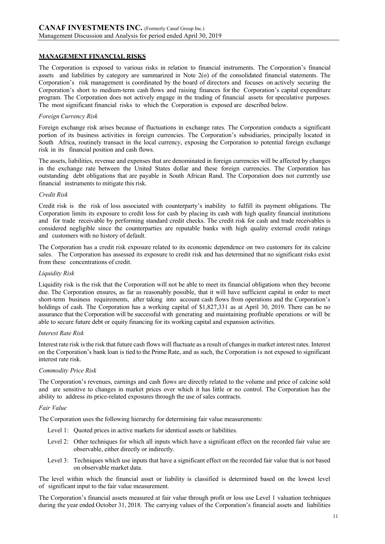## **MANAGEMENT FINANCIAL RISKS**

The Corporation is exposed to various risks in relation to financial instruments. The Corporation's financial assets and liabilities by category are summarized in Note 2(o) of the consolidated financial statements. The Corporation's risk management is coordinated by the board of directors and focuses on actively securing the Corporation's short to medium-term cash flows and raising finances for the Corporation's capital expenditure program. The Corporation does not actively engage in the trading of financial assets for speculative purposes. The most significant financial risks to which the Corporation is exposed are described below.

#### *Foreign Currency Risk*

Foreign exchange risk arises because of fluctuations in exchange rates. The Corporation conducts a significant portion of its business activities in foreign currencies. The Corporation's subsidiaries, principally located in South Africa, routinely transact in the local currency, exposing the Corporation to potential foreign exchange risk in its financial position and cash flows.

The assets, liabilities, revenue and expenses that are denominated in foreign currencies will be affected by changes in the exchange rate between the United States dollar and these foreign currencies. The Corporation has outstanding debt obligations that are payable in South African Rand. The Corporation does not currently use financial instruments to mitigate this risk.

#### *Credit Risk*

Credit risk is the risk of loss associated with counterparty's inability to fulfill its payment obligations. The Corporation limits its exposure to credit loss for cash by placing its cash with high quality financial institutions and for trade receivable by performing standard credit checks. The credit risk for cash and trade receivables is considered negligible since the counterparties are reputable banks with high quality external credit ratings and customers with no history of default.

The Corporation has a credit risk exposure related to its economic dependence on two customers for its calcine sales. The Corporation has assessed its exposure to credit risk and has determined that no significant risks exist from these concentrations of credit.

#### *Liquidity Risk*

Liquidity risk is the risk that the Corporation will not be able to meet its financial obligations when they become due. The Corporation ensures, as far as reasonably possible, that it will have sufficient capital in order to meet short-term business requirements, after taking into account cash flows from operations and the Corporation's holdings of cash. The Corporation has a working capital of \$1,827,331 as at April 30, 2019. There can be no assurance that the Corporation will be successful with generating and maintaining profitable operations or will be able to secure future debt or equity financing for its working capital and expansion activities.

#### *Interest Rate Risk*

Interestrate risk isthe risk that future cash flows will fluctuate as a result of changesin market interest rates. Interest on the Corporation's bank loan is tied to the Prime Rate, and as such, the Corporation is not exposed to significant interest rate risk.

#### *Commodity Price Risk*

The Corporation's revenues, earnings and cash flows are directly related to the volume and price of calcine sold and are sensitive to changes in market prices over which it has little or no control. The Corporation has the ability to address its price-related exposures through the use of sales contracts.

#### *Fair Value*

The Corporation uses the following hierarchy for determining fair value measurements:

- Level 1: Quoted prices in active markets for identical assets or liabilities.
- Level 2: Other techniques for which all inputs which have a significant effect on the recorded fair value are observable, either directly or indirectly.
- Level 3: Techniques which use inputs that have a significant effect on the recorded fair value that is not based on observable market data.

The level within which the financial asset or liability is classified is determined based on the lowest level of significant input to the fair value measurement.

The Corporation's financial assets measured at fair value through profit or loss use Level 1 valuation techniques during the year ended October 31, 2018. The carrying values of the Corporation's financial assets and liabilities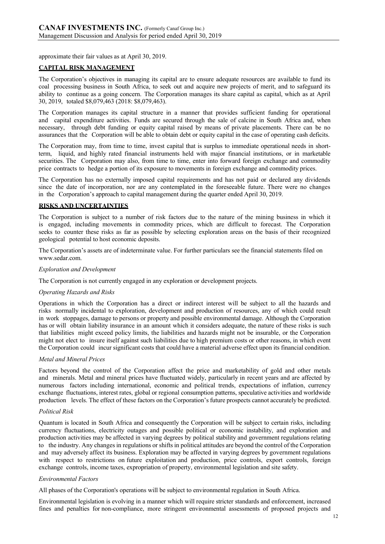approximate their fair values as at April 30, 2019.

## **CAPITAL RISK MANAGEMENT**

The Corporation's objectives in managing its capital are to ensure adequate resources are available to fund its coal processing business in South Africa, to seek out and acquire new projects of merit, and to safeguard its ability to continue as a going concern. The Corporation manages its share capital as capital, which as at April 30, 2019, totaled \$8,079,463 (2018: \$8,079,463).

The Corporation manages its capital structure in a manner that provides sufficient funding for operational and capital expenditure activities. Funds are secured through the sale of calcine in South Africa and, when necessary, through debt funding or equity capital raised by means of private placements. There can be no assurances that the Corporation will be able to obtain debt or equity capital in the case of operating cash deficits.

The Corporation may, from time to time, invest capital that is surplus to immediate operational needs in shortterm, liquid, and highly rated financial instruments held with major financial institutions, or in marketable securities. The Corporation may also, from time to time, enter into forward foreign exchange and commodity price contracts to hedge a portion of its exposure to movements in foreign exchange and commodity prices.

The Corporation has no externally imposed capital requirements and has not paid or declared any dividends since the date of incorporation, nor are any contemplated in the foreseeable future. There were no changes in the Corporation's approach to capital management during the quarter ended April 30, 2019.

## **RISKS AND UNCERTAINTIES**

The Corporation is subject to a number of risk factors due to the nature of the mining business in which it is engaged, including movements in commodity prices, which are difficult to forecast. The Corporation seeks to counter these risks as far as possible by selecting exploration areas on the basis of their recognized geological potential to host economic deposits.

The Corporation's assets are of indeterminate value. For further particulars see the financial statements filed o[n](http://www.sedar.com/) [www.sedar.com.](http://www.sedar.com/)

### *Exploration and Development*

The Corporation is not currently engaged in any exploration or development projects.

### *Operating Hazards and Risks*

Operations in which the Corporation has a direct or indirect interest will be subject to all the hazards and risks normally incidental to exploration, development and production of resources, any of which could result in work stoppages, damage to persons or property and possible environmental damage. Although the Corporation has or will obtain liability insurance in an amount which it considers adequate, the nature of these risks is such that liabilities might exceed policy limits, the liabilities and hazards might not be insurable, or the Corporation might not elect to insure itself against such liabilities due to high premium costs or other reasons, in which event the Corporation could incur significant costs that could have a material adverse effect upon its financial condition.

### *Metal and Mineral Prices*

Factors beyond the control of the Corporation affect the price and marketability of gold and other metals and minerals. Metal and mineral prices have fluctuated widely, particularly in recent years and are affected by numerous factors including international, economic and political trends, expectations of inflation, currency exchange fluctuations, interest rates, global or regional consumption patterns, speculative activities and worldwide production levels. The effect of these factors on the Corporation's future prospects cannot accurately be predicted.

### *Political Risk*

Quantum is located in South Africa and consequently the Corporation will be subject to certain risks, including currency fluctuations, electricity outages and possible political or economic instability, and exploration and production activities may be affected in varying degrees by political stability and government regulations relating to the industry. Any changes in regulations or shifts in political attitudes are beyond the control of the Corporation and may adversely affect its business. Exploration may be affected in varying degrees by government regulations with respect to restrictions on future exploitation and production, price controls, export controls, foreign exchange controls, income taxes, expropriation of property, environmental legislation and site safety.

### *Environmental Factors*

All phases of the Corporation's operations will be subject to environmental regulation in South Africa.

Environmental legislation is evolving in a manner which will require stricter standards and enforcement, increased fines and penalties for non-compliance, more stringent environmental assessments of proposed projects and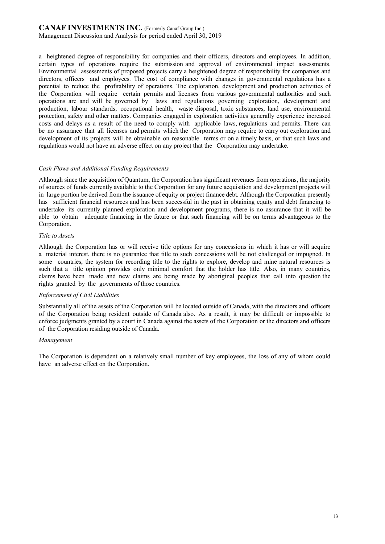a heightened degree of responsibility for companies and their officers, directors and employees. In addition, certain types of operations require the submission and approval of environmental impact assessments. Environmental assessments of proposed projects carry a heightened degree of responsibility for companies and directors, officers and employees. The cost of compliance with changes in governmental regulations has a potential to reduce the profitability of operations. The exploration, development and production activities of the Corporation will require certain permits and licenses from various governmental authorities and such operations are and will be governed by laws and regulations governing exploration, development and production, labour standards, occupational health, waste disposal, toxic substances, land use, environmental protection, safety and other matters. Companies engaged in exploration activities generally experience increased costs and delays as a result of the need to comply with applicable laws, regulations and permits. There can be no assurance that all licenses and permits which the Corporation may require to carry out exploration and development of its projects will be obtainable on reasonable terms or on a timely basis, or that such laws and regulations would not have an adverse effect on any project that the Corporation may undertake.

### *Cash Flows and Additional Funding Requirements*

Although since the acquisition of Quantum, the Corporation has significant revenues from operations, the majority of sources of funds currently available to the Corporation for any future acquisition and development projects will in large portion be derived from the issuance of equity or project finance debt. Although the Corporation presently has sufficient financial resources and has been successful in the past in obtaining equity and debt financing to undertake its currently planned exploration and development programs, there is no assurance that it will be able to obtain adequate financing in the future or that such financing will be on terms advantageous to the Corporation.

## *Title to Assets*

Although the Corporation has or will receive title options for any concessions in which it has or will acquire a material interest, there is no guarantee that title to such concessions will be not challenged or impugned. In some countries, the system for recording title to the rights to explore, develop and mine natural resources is such that a title opinion provides only minimal comfort that the holder has title. Also, in many countries, claims have been made and new claims are being made by aboriginal peoples that call into question the rights granted by the governments of those countries.

### *Enforcement of Civil Liabilities*

Substantially all of the assets of the Corporation will be located outside of Canada, with the directors and officers of the Corporation being resident outside of Canada also. As a result, it may be difficult or impossible to enforce judgments granted by a court in Canada against the assets of the Corporation or the directors and officers of the Corporation residing outside of Canada.

### *Management*

The Corporation is dependent on a relatively small number of key employees, the loss of any of whom could have an adverse effect on the Corporation.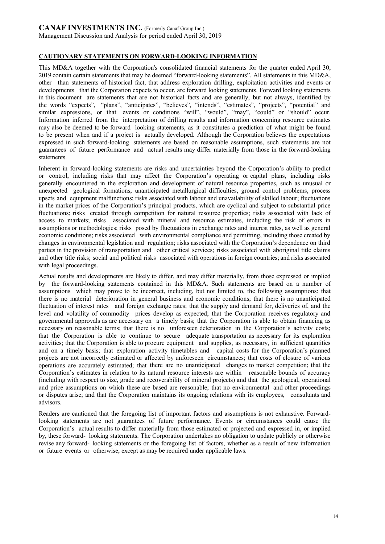# **CAUTIONARY STATEMENTS ON FORWARD-LOOKING INFORMATION**

This MD&A together with the Corporation's consolidated financial statements for the quarter ended April 30, 2019 contain certain statements that may be deemed "forward-looking statements". All statements in this MD&A, other than statements of historical fact, that address exploration drilling, exploitation activities and events or developments that the Corporation expects to occur, are forward looking statements. Forward looking statements in this document are statements that are not historical facts and are generally, but not always, identified by the words "expects", "plans", "anticipates", "believes", "intends", "estimates", "projects", "potential" and similar expressions, or that events or conditions "will", "would", "may", "could" or "should" occur. Information inferred from the interpretation of drilling results and information concerning resource estimates may also be deemed to be forward looking statements, as it constitutes a prediction of what might be found to be present when and if a project is actually developed. Although the Corporation believes the expectations expressed in such forward-looking statements are based on reasonable assumptions, such statements are not guarantees of future performance and actual results may differ materially from those in the forward-looking statements.

Inherent in forward-looking statements are risks and uncertainties beyond the Corporation's ability to predict or control, including risks that may affect the Corporation's operating or capital plans, including risks generally encountered in the exploration and development of natural resource properties, such as unusual or unexpected geological formations, unanticipated metallurgical difficulties, ground control problems, process upsets and equipment malfunctions; risks associated with labour and unavailability of skilled labour; fluctuations in the market prices of the Corporation's principal products, which are cyclical and subject to substantial price fluctuations; risks created through competition for natural resource properties; risks associated with lack of access to markets; risks associated with mineral and resource estimates, including the risk of errors in assumptions or methodologies; risks posed by fluctuations in exchange rates and interest rates, as well as general economic conditions; risks associated with environmental compliance and permitting, including those created by changes in environmental legislation and regulation; risks associated with the Corporation's dependence on third parties in the provision of transportation and other critical services; risks associated with aboriginal title claims and other title risks; social and political risks associated with operations in foreign countries; and risks associated with legal proceedings.

Actual results and developments are likely to differ, and may differ materially, from those expressed or implied by the forward-looking statements contained in this MD&A. Such statements are based on a number of assumptions which may prove to be incorrect, including, but not limited to, the following assumptions: that there is no material deterioration in general business and economic conditions; that there is no unanticipated fluctuation of interest rates and foreign exchange rates; that the supply and demand for, deliveries of, and the level and volatility of commodity prices develop as expected; that the Corporation receives regulatory and governmental approvals as are necessary on a timely basis; that the Corporation is able to obtain financing as necessary on reasonable terms; that there is no unforeseen deterioration in the Corporation's activity costs; that the Corporation is able to continue to secure adequate transportation as necessary for its exploration activities; that the Corporation is able to procure equipment and supplies, as necessary, in sufficient quantities and on a timely basis; that exploration activity timetables and capital costs for the Corporation's planned projects are not incorrectly estimated or affected by unforeseen circumstances; that costs of closure of various operations are accurately estimated; that there are no unanticipated changes to market competition; that the Corporation's estimates in relation to its natural resource interests are within reasonable bounds of accuracy (including with respect to size, grade and recoverability of mineral projects) and that the geological, operational and price assumptions on which these are based are reasonable; that no environmental and other proceedings or disputes arise; and that the Corporation maintains its ongoing relations with its employees, consultants and advisors.

Readers are cautioned that the foregoing list of important factors and assumptions is not exhaustive. Forwardlooking statements are not guarantees of future performance. Events or circumstances could cause the Corporation's actual results to differ materially from those estimated or projected and expressed in, or implied by, these forward- looking statements. The Corporation undertakes no obligation to update publicly or otherwise revise any forward- looking statements or the foregoing list of factors, whether as a result of new information or future events or otherwise, except as may be required under applicable laws.